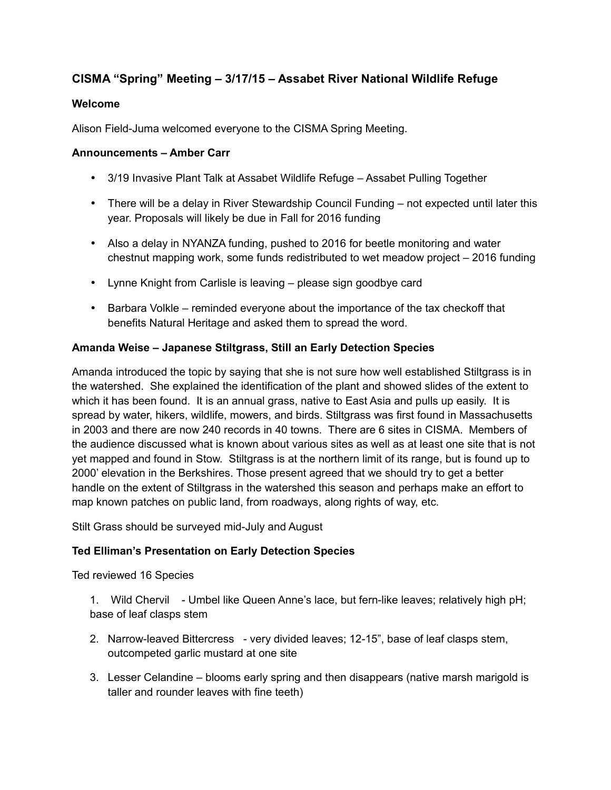# **CISMA "Spring" Meeting – 3/17/15 – Assabet River National Wildlife Refuge**

### **Welcome**

Alison Field-Juma welcomed everyone to the CISMA Spring Meeting.

#### **Announcements – Amber Carr**

- 3/19 Invasive Plant Talk at Assabet Wildlife Refuge Assabet Pulling Together
- There will be a delay in River Stewardship Council Funding not expected until later this year. Proposals will likely be due in Fall for 2016 funding
- Also a delay in NYANZA funding, pushed to 2016 for beetle monitoring and water chestnut mapping work, some funds redistributed to wet meadow project – 2016 funding
- Lynne Knight from Carlisle is leaving please sign goodbye card
- Barbara Volkle reminded everyone about the importance of the tax checkoff that benefits Natural Heritage and asked them to spread the word.

## **Amanda Weise – Japanese Stiltgrass, Still an Early Detection Species**

Amanda introduced the topic by saying that she is not sure how well established Stiltgrass is in the watershed. She explained the identification of the plant and showed slides of the extent to which it has been found. It is an annual grass, native to East Asia and pulls up easily. It is spread by water, hikers, wildlife, mowers, and birds. Stiltgrass was first found in Massachusetts in 2003 and there are now 240 records in 40 towns. There are 6 sites in CISMA. Members of the audience discussed what is known about various sites as well as at least one site that is not yet mapped and found in Stow. Stiltgrass is at the northern limit of its range, but is found up to 2000' elevation in the Berkshires. Those present agreed that we should try to get a better handle on the extent of Stiltgrass in the watershed this season and perhaps make an effort to map known patches on public land, from roadways, along rights of way, etc.

Stilt Grass should be surveyed mid-July and August

## **Ted Elliman's Presentation on Early Detection Species**

Ted reviewed 16 Species

1. Wild Chervil - Umbel like Queen Anne's lace, but fern-like leaves; relatively high pH; base of leaf clasps stem

- 2. Narrow-leaved Bittercress very divided leaves; 12-15", base of leaf clasps stem, outcompeted garlic mustard at one site
- 3. Lesser Celandine blooms early spring and then disappears (native marsh marigold is taller and rounder leaves with fine teeth)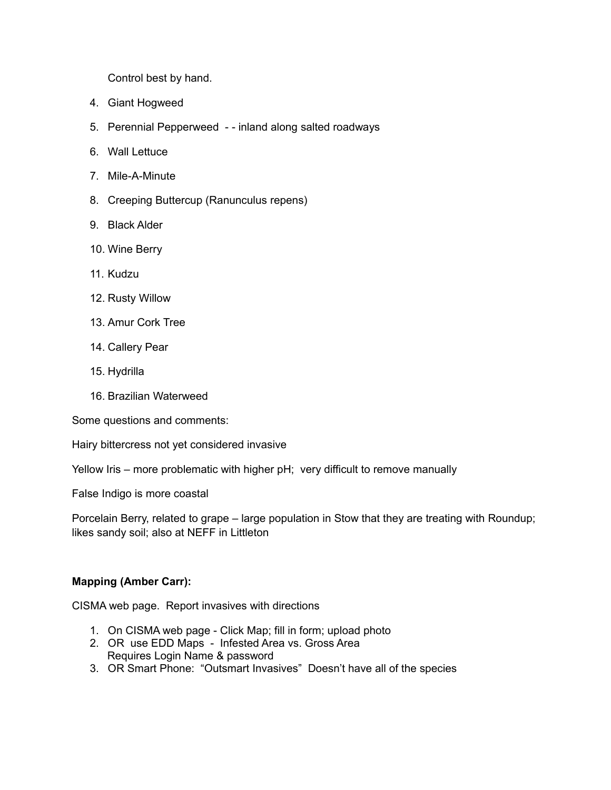Control best by hand.

- 4. Giant Hogweed
- 5. Perennial Pepperweed - inland along salted roadways
- 6. Wall Lettuce
- 7. Mile-A-Minute
- 8. Creeping Buttercup (Ranunculus repens)
- 9. Black Alder
- 10. Wine Berry
- 11. Kudzu
- 12. Rusty Willow
- 13. Amur Cork Tree
- 14. Callery Pear
- 15. Hydrilla
- 16. Brazilian Waterweed

Some questions and comments:

Hairy bittercress not yet considered invasive

Yellow Iris – more problematic with higher pH; very difficult to remove manually

False Indigo is more coastal

Porcelain Berry, related to grape – large population in Stow that they are treating with Roundup; likes sandy soil; also at NEFF in Littleton

#### **Mapping (Amber Carr):**

CISMA web page. Report invasives with directions

- 1. On CISMA web page Click Map; fill in form; upload photo
- 2. OR use EDD Maps Infested Area vs. Gross Area Requires Login Name & password
- 3. OR Smart Phone: "Outsmart Invasives" Doesn't have all of the species